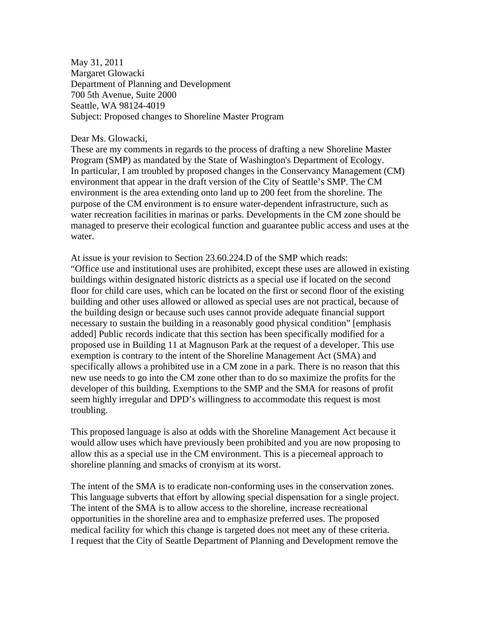May 31, 2011 Margaret Glowacki Department of Planning and Development 700 5th Avenue, Suite 2000 Seattle, WA 98124-4019 Subject: Proposed changes to Shoreline Master Program

### Dear Ms. Glowacki,

These are my comments in regards to the process of drafting a new Shoreline Master Program (SMP) as mandated by the State of Washington's Department of Ecology. In particular, I am troubled by proposed changes in the Conservancy Management (CM) environment that appear in the draft version of the City of Seattle's SMP. The CM environment is the area extending onto land up to 200 feet from the shoreline. The purpose of the CM environment is to ensure water-dependent infrastructure, such as water recreation facilities in marinas or parks. Developments in the CM zone should be managed to preserve their ecological function and guarantee public access and uses at the water.

At issue is your revision to Section 23.60.224.D of the SMP which reads: "Office use and institutional uses are prohibited, except these uses are allowed in existing buildings within designated historic districts as a special use if located on the second floor for child care uses, which can be located on the first or second floor of the existing building and other uses allowed or allowed as special uses are not practical, because of the building design or because such uses cannot provide adequate financial support necessary to sustain the building in a reasonably good physical condition" [emphasis added] Public records indicate that this section has been specifically modified for a proposed use in Building 11 at Magnuson Park at the request of a developer. This use exemption is contrary to the intent of the Shoreline Management Act (SMA) and specifically allows a prohibited use in a CM zone in a park. There is no reason that this new use needs to go into the CM zone other than to do so maximize the profits for the developer of this building. Exemptions to the SMP and the SMA for reasons of profit seem highly irregular and DPD's willingness to accommodate this request is most troubling.

This proposed language is also at odds with the Shoreline Management Act because it would allow uses which have previously been prohibited and you are now proposing to allow this as a special use in the CM environment. This is a piecemeal approach to shoreline planning and smacks of cronyism at its worst.

The intent of the SMA is to eradicate non-conforming uses in the conservation zones. This language subverts that effort by allowing special dispensation for a single project. The intent of the SMA is to allow access to the shoreline, increase recreational opportunities in the shoreline area and to emphasize preferred uses. The proposed medical facility for which this change is targeted does not meet any of these criteria. I request that the City of Seattle Department of Planning and Development remove the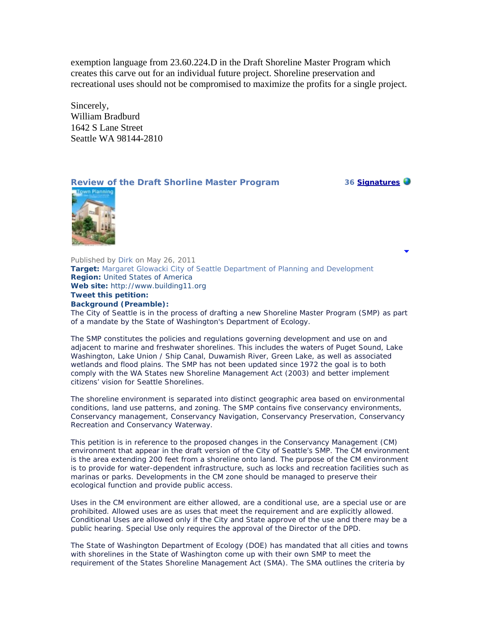exemption language from 23.60.224.D in the Draft Shoreline Master Program which creates this carve out for an individual future project. Shoreline preservation and recreational uses should not be compromised to maximize the profits for a single project.

Sincerely, William Bradburd 1642 S Lane Street Seattle WA 98144-2810

# **Review of the Draft Shorline Master Program 36 [Signatures](http://www.gopetition.com/petitions/review-of-the-draft-shorline-master-program/signatures.html)**



Published by Dirk on May 26, 2011 **Target:** Margaret Glowacki City of Seattle Department of Planning and Development **Region:** United States of America **Web site:** http://www.building11.org **Tweet this petition: Background (Preamble):** 

The City of Seattle is in the process of drafting a new Shoreline Master Program (SMP) as part of a mandate by the State of Washington's Department of Ecology.

The SMP constitutes the policies and regulations governing development and use on and adjacent to marine and freshwater shorelines. This includes the waters of Puget Sound, Lake Washington, Lake Union / Ship Canal, Duwamish River, Green Lake, as well as associated wetlands and flood plains. The SMP has not been updated since 1972 the goal is to both comply with the WA States new Shoreline Management Act (2003) and better implement citizens' vision for Seattle Shorelines.

The shoreline environment is separated into distinct geographic area based on environmental conditions, land use patterns, and zoning. The SMP contains five conservancy environments, Conservancy management, Conservancy Navigation, Conservancy Preservation, Conservancy Recreation and Conservancy Waterway.

This petition is in reference to the proposed changes in the Conservancy Management (CM) environment that appear in the draft version of the City of Seattle's SMP. The CM environment is the area extending 200 feet from a shoreline onto land. The purpose of the CM environment is to provide for water-dependent infrastructure, such as locks and recreation facilities such as marinas or parks. Developments in the CM zone should be managed to preserve their ecological function and provide public access.

Uses in the CM environment are either allowed, are a conditional use, are a special use or are prohibited. Allowed uses are as uses that meet the requirement and are explicitly allowed. Conditional Uses are allowed only if the City and State approve of the use and there may be a public hearing. Special Use only requires the approval of the Director of the DPD.

The State of Washington Department of Ecology (DOE) has mandated that all cities and towns with shorelines in the State of Washington come up with their own SMP to meet the requirement of the States Shoreline Management Act (SMA). The SMA outlines the criteria by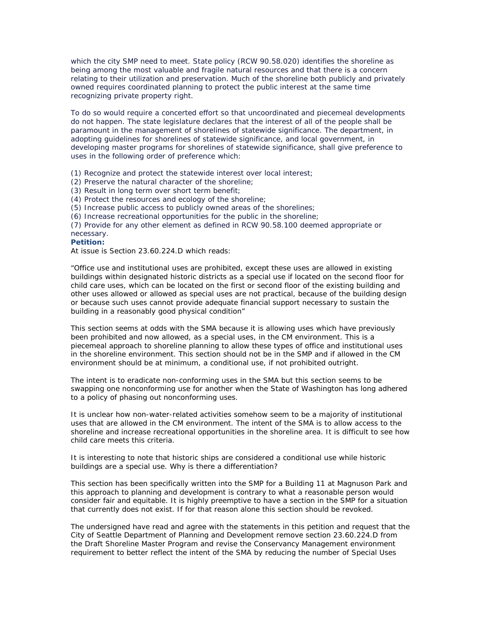which the city SMP need to meet. State policy (RCW 90.58.020) identifies the shoreline as being among the most valuable and fragile natural resources and that there is a concern relating to their utilization and preservation. Much of the shoreline both publicly and privately owned requires coordinated planning to protect the public interest at the same time recognizing private property right.

To do so would require a concerted effort so that uncoordinated and piecemeal developments do not happen. The state legislature declares that the interest of all of the people shall be paramount in the management of shorelines of statewide significance. The department, in adopting guidelines for shorelines of statewide significance, and local government, in developing master programs for shorelines of statewide significance, shall give preference to uses in the following order of preference which:

(1) Recognize and protect the statewide interest over local interest;

- (2) Preserve the natural character of the shoreline;
- (3) Result in long term over short term benefit;

(4) Protect the resources and ecology of the shoreline;

(5) Increase public access to publicly owned areas of the shorelines;

(6) Increase recreational opportunities for the public in the shoreline;

(7) Provide for any other element as defined in RCW 90.58.100 deemed appropriate or necessary.

#### **Petition:**

At issue is Section 23.60.224.D which reads:

"Office use and institutional uses are prohibited, except these uses are allowed in existing buildings within designated historic districts as a special use if located on the second floor for child care uses, which can be located on the first or second floor of the existing building and other uses allowed or allowed as special uses are not practical, because of the building design or because such uses cannot provide adequate financial support necessary to sustain the building in a reasonably good physical condition"

This section seems at odds with the SMA because it is allowing uses which have previously been prohibited and now allowed, as a special uses, in the CM environment. This is a piecemeal approach to shoreline planning to allow these types of office and institutional uses in the shoreline environment. This section should not be in the SMP and if allowed in the CM environment should be at minimum, a conditional use, if not prohibited outright.

The intent is to eradicate non-conforming uses in the SMA but this section seems to be swapping one nonconforming use for another when the State of Washington has long adhered to a policy of phasing out nonconforming uses.

It is unclear how non-water-related activities somehow seem to be a majority of institutional uses that are allowed in the CM environment. The intent of the SMA is to allow access to the shoreline and increase recreational opportunities in the shoreline area. It is difficult to see how child care meets this criteria.

It is interesting to note that historic ships are considered a conditional use while historic buildings are a special use. Why is there a differentiation?

This section has been specifically written into the SMP for a Building 11 at Magnuson Park and this approach to planning and development is contrary to what a reasonable person would consider fair and equitable. It is highly preemptive to have a section in the SMP for a situation that currently does not exist. If for that reason alone this section should be revoked.

The undersigned have read and agree with the statements in this petition and request that the City of Seattle Department of Planning and Development remove section 23.60.224.D from the Draft Shoreline Master Program and revise the Conservancy Management environment requirement to better reflect the intent of the SMA by reducing the number of Special Uses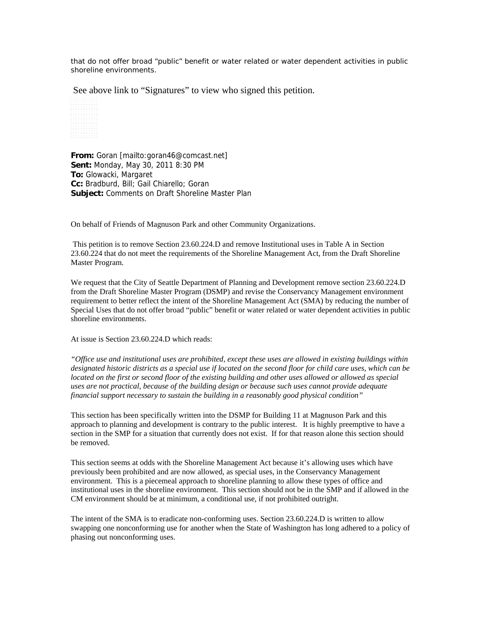that do not offer broad "public" benefit or water related or water dependent activities in public shoreline environments.

See above link to "Signatures" to view who signed this petition.

**From:** Goran [mailto:goran46@comcast.net] **Sent:** Monday, May 30, 2011 8:30 PM **To:** Glowacki, Margaret **Cc:** Bradburd, Bill; Gail Chiarello; Goran **Subject:** Comments on Draft Shoreline Master Plan

On behalf of Friends of Magnuson Park and other Community Organizations.

 This petition is to remove Section 23.60.224.D and remove Institutional uses in Table A in Section 23.60.224 that do not meet the requirements of the Shoreline Management Act, from the Draft Shoreline Master Program.

We request that the City of Seattle Department of Planning and Development remove section 23.60.224.D from the Draft Shoreline Master Program (DSMP) and revise the Conservancy Management environment requirement to better reflect the intent of the Shoreline Management Act (SMA) by reducing the number of Special Uses that do not offer broad "public" benefit or water related or water dependent activities in public shoreline environments.

At issue is Section 23.60.224.D which reads:

*"Office use and institutional uses are prohibited, except these uses are allowed in existing buildings within designated historic districts as a special use if located on the second floor for child care uses, which can be located on the first or second floor of the existing building and other uses allowed or allowed as special uses are not practical, because of the building design or because such uses cannot provide adequate financial support necessary to sustain the building in a reasonably good physical condition"*

This section has been specifically written into the DSMP for Building 11 at Magnuson Park and this approach to planning and development is contrary to the public interest. It is highly preemptive to have a section in the SMP for a situation that currently does not exist. If for that reason alone this section should be removed.

This section seems at odds with the Shoreline Management Act because it's allowing uses which have previously been prohibited and are now allowed, as special uses, in the Conservancy Management environment. This is a piecemeal approach to shoreline planning to allow these types of office and institutional uses in the shoreline environment. This section should not be in the SMP and if allowed in the CM environment should be at minimum, a conditional use, if not prohibited outright.

The intent of the SMA is to eradicate non-conforming uses. Section 23.60.224.D is written to allow swapping one nonconforming use for another when the State of Washington has long adhered to a policy of phasing out nonconforming uses.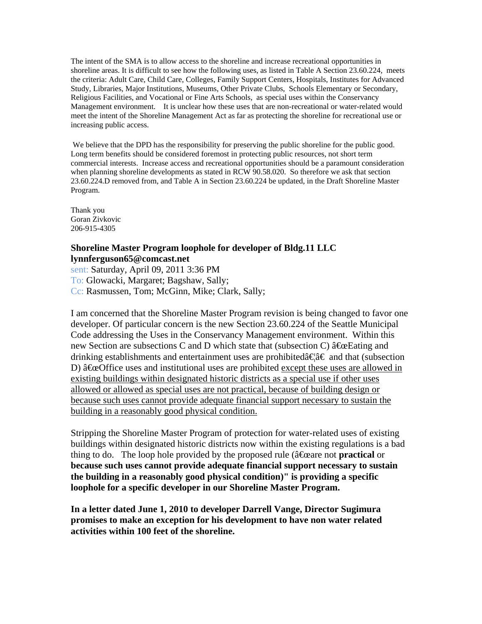The intent of the SMA is to allow access to the shoreline and increase recreational opportunities in shoreline areas. It is difficult to see how the following uses, as listed in Table A Section 23.60.224, meets the criteria: Adult Care, Child Care, Colleges, Family Support Centers, Hospitals, Institutes for Advanced Study, Libraries, Major Institutions, Museums, Other Private Clubs, Schools Elementary or Secondary, Religious Facilities, and Vocational or Fine Arts Schools, as special uses within the Conservancy Management environment. It is unclear how these uses that are non-recreational or water-related would meet the intent of the Shoreline Management Act as far as protecting the shoreline for recreational use or increasing public access.

We believe that the DPD has the responsibility for preserving the public shoreline for the public good. Long term benefits should be considered foremost in protecting public resources, not short term commercial interests. Increase access and recreational opportunities should be a paramount consideration when planning shoreline developments as stated in RCW 90.58.020. So therefore we ask that section 23.60.224.D removed from, and Table A in Section 23.60.224 be updated, in the Draft Shoreline Master Program.

Thank you Goran Zivkovic 206-915-4305

## **Shoreline Master Program loophole for developer of Bldg.11 LLC lynnferguson65@comcast.net**

sent: Saturday, April 09, 2011 3:36 PM To: Glowacki, Margaret; Bagshaw, Sally; Cc: Rasmussen, Tom; McGinn, Mike; Clark, Sally;

I am concerned that the Shoreline Master Program revision is being changed to favor one developer. Of particular concern is the new Section 23.60.224 of the Seattle Municipal Code addressing the Uses in the Conservancy Management environment. Within this new Section are subsections C and D which state that (subsection C)  $\hat{a} \hat{\epsilon}$  Eating and drinking establishments and entertainment uses are prohibited $\hat{a} \in \hat{a} \in \hat{a}$  and that (subsection D)  $\hat{a} \hat{\alpha}$  are except these uses are allowed in existing buildings within designated historic districts as a special use if other uses allowed or allowed as special uses are not practical, because of building design or because such uses cannot provide adequate financial support necessary to sustain the building in a reasonably good physical condition.

Stripping the Shoreline Master Program of protection for water-related uses of existing buildings within designated historic districts now within the existing regulations is a bad thing to do. The loop hole provided by the proposed rule ( $\hat{a}$ <del>C</del>) cannot **practical** or **because such uses cannot provide adequate financial support necessary to sustain the building in a reasonably good physical condition)" is providing a specific loophole for a specific developer in our Shoreline Master Program.** 

**In a letter dated June 1, 2010 to developer Darrell Vange, Director Sugimura promises to make an exception for his development to have non water related activities within 100 feet of the shoreline.**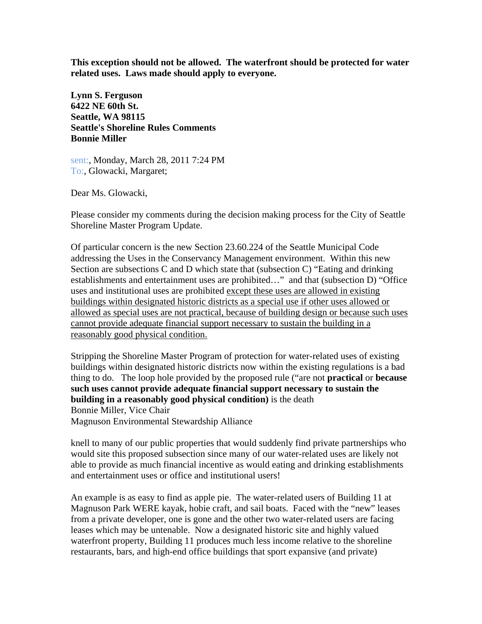**This exception should not be allowed. The waterfront should be protected for water related uses. Laws made should apply to everyone.**

**Lynn S. Ferguson 6422 NE 60th St. Seattle, WA 98115 Seattle's Shoreline Rules Comments Bonnie Miller** 

sent:, Monday, March 28, 2011 7:24 PM To:, Glowacki, Margaret;

Dear Ms. Glowacki,

Please consider my comments during the decision making process for the City of Seattle Shoreline Master Program Update.

Of particular concern is the new Section 23.60.224 of the Seattle Municipal Code addressing the Uses in the Conservancy Management environment. Within this new Section are subsections C and D which state that (subsection C) "Eating and drinking establishments and entertainment uses are prohibited…" and that (subsection D) "Office uses and institutional uses are prohibited except these uses are allowed in existing buildings within designated historic districts as a special use if other uses allowed or allowed as special uses are not practical, because of building design or because such uses cannot provide adequate financial support necessary to sustain the building in a reasonably good physical condition.

Stripping the Shoreline Master Program of protection for water-related uses of existing buildings within designated historic districts now within the existing regulations is a bad thing to do. The loop hole provided by the proposed rule ("are not **practical** or **because such uses cannot provide adequate financial support necessary to sustain the building in a reasonably good physical condition)** is the death Bonnie Miller, Vice Chair

Magnuson Environmental Stewardship Alliance

knell to many of our public properties that would suddenly find private partnerships who would site this proposed subsection since many of our water-related uses are likely not able to provide as much financial incentive as would eating and drinking establishments and entertainment uses or office and institutional users!

An example is as easy to find as apple pie. The water-related users of Building 11 at Magnuson Park WERE kayak, hobie craft, and sail boats. Faced with the "new" leases from a private developer, one is gone and the other two water-related users are facing leases which may be untenable. Now a designated historic site and highly valued waterfront property, Building 11 produces much less income relative to the shoreline restaurants, bars, and high-end office buildings that sport expansive (and private)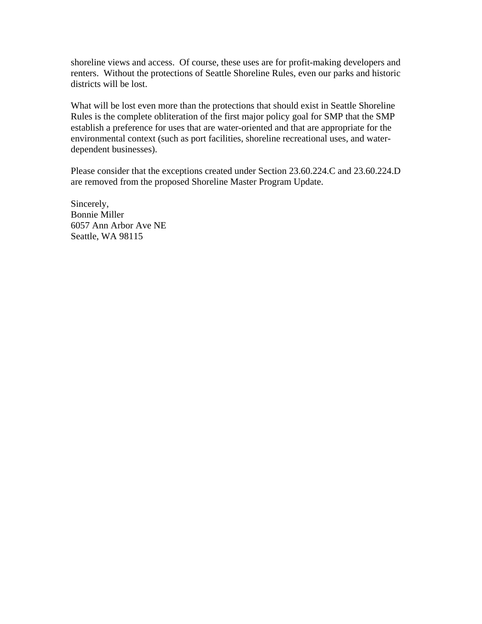shoreline views and access. Of course, these uses are for profit-making developers and renters. Without the protections of Seattle Shoreline Rules, even our parks and historic districts will be lost.

What will be lost even more than the protections that should exist in Seattle Shoreline Rules is the complete obliteration of the first major policy goal for SMP that the SMP establish a preference for uses that are water-oriented and that are appropriate for the environmental context (such as port facilities, shoreline recreational uses, and waterdependent businesses).

Please consider that the exceptions created under Section 23.60.224.C and 23.60.224.D are removed from the proposed Shoreline Master Program Update.

Sincerely, Bonnie Miller 6057 Ann Arbor Ave NE Seattle, WA 98115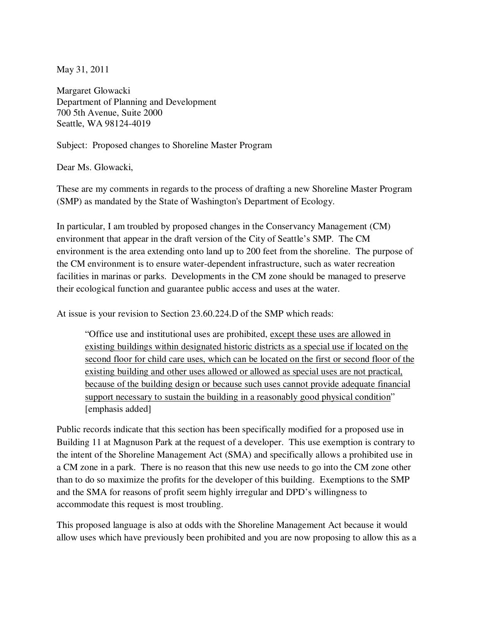May 31, 2011

Margaret Glowacki Department of Planning and Development 700 5th Avenue, Suite 2000 Seattle, WA 98124-4019

Subject: Proposed changes to Shoreline Master Program

Dear Ms. Glowacki,

These are my comments in regards to the process of drafting a new Shoreline Master Program (SMP) as mandated by the State of Washington's Department of Ecology.

In particular, I am troubled by proposed changes in the Conservancy Management (CM) environment that appear in the draft version of the City of Seattle's SMP. The CM environment is the area extending onto land up to 200 feet from the shoreline. The purpose of the CM environment is to ensure water-dependent infrastructure, such as water recreation facilities in marinas or parks. Developments in the CM zone should be managed to preserve their ecological function and guarantee public access and uses at the water.

At issue is your revision to Section 23.60.224.D of the SMP which reads:

"Office use and institutional uses are prohibited, except these uses are allowed in existing buildings within designated historic districts as a special use if located on the second floor for child care uses, which can be located on the first or second floor of the existing building and other uses allowed or allowed as special uses are not practical, because of the building design or because such uses cannot provide adequate financial support necessary to sustain the building in a reasonably good physical condition" [emphasis added]

Public records indicate that this section has been specifically modified for a proposed use in Building 11 at Magnuson Park at the request of a developer. This use exemption is contrary to the intent of the Shoreline Management Act (SMA) and specifically allows a prohibited use in a CM zone in a park. There is no reason that this new use needs to go into the CM zone other than to do so maximize the profits for the developer of this building. Exemptions to the SMP and the SMA for reasons of profit seem highly irregular and DPD's willingness to accommodate this request is most troubling.

This proposed language is also at odds with the Shoreline Management Act because it would allow uses which have previously been prohibited and you are now proposing to allow this as a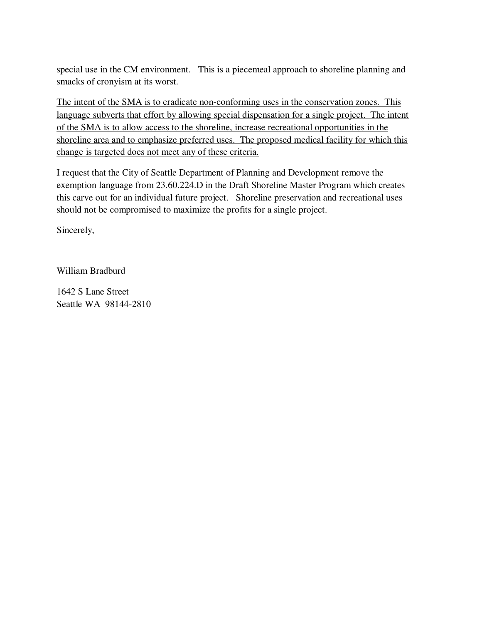special use in the CM environment. This is a piecemeal approach to shoreline planning and smacks of cronyism at its worst.

The intent of the SMA is to eradicate non-conforming uses in the conservation zones. This language subverts that effort by allowing special dispensation for a single project. The intent of the SMA is to allow access to the shoreline, increase recreational opportunities in the shoreline area and to emphasize preferred uses. The proposed medical facility for which this change is targeted does not meet any of these criteria.

I request that the City of Seattle Department of Planning and Development remove the exemption language from 23.60.224.D in the Draft Shoreline Master Program which creates this carve out for an individual future project. Shoreline preservation and recreational uses should not be compromised to maximize the profits for a single project.

Sincerely,

William Bradburd

1642 S Lane Street Seattle WA 98144-2810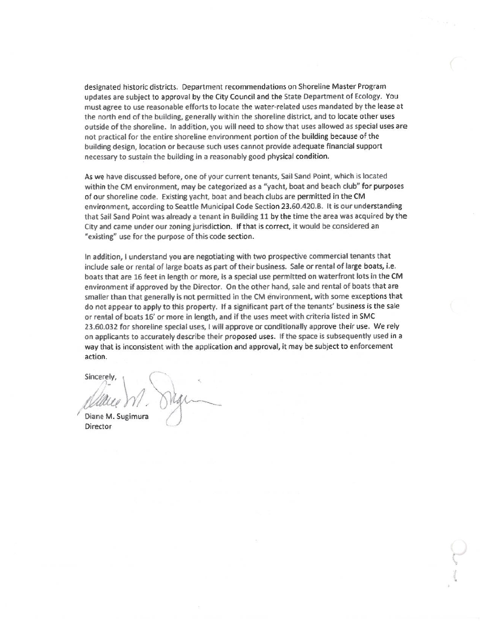designated historic districts. Department recommendations on Shoreline Master Program updates are subject to approval by the City Council and the State Department of Ecology. You must agree to use reasonable efforts to locate the water-related uses mandated by the lease at the north end of the building, generally within the shoreline district, and to locate other uses outside of the shoreline. In addition, you will need to show that uses allowed as special uses are not practical for the entire shoreline environment portion of the building because of the building design, location or because such uses cannot provide adequate financial support necessary to sustain the building in a reasonably good physical condition.

As we have discussed before, one of your current tenants, Sail Sand Point, which is located within the CM environment, may be categorized as a "yacht, boat and beach club" for purposes of our shoreline code. Existing yacht, boat and beach clubs are permitted in the CM environment, according to Seattle Municipal Code Section 23.60.420.B. It is our understanding that Sail Sand Point was already a tenant in Building 11 by the time the area was acquired by the City and came under our zoning jurisdiction. If that is correct, it would be considered an "existing" use for the purpose of this code section.

In addition, I understand you are negotiating with two prospective commercial tenants that include sale or rental of large boats as part of their business. Sale or rental of large boats, i.e. boats that are 16 feet in length or more, is a special use permitted on waterfront lots in the CM environment if approved by the Director. On the other hand, sale and rental of boats that are smaller than that generally is not permitted in the CM environment, with some exceptions that do not appear to apply to this property. If a significant part of the tenants' business is the sale or rental of boats 16' or more in length, and if the uses meet with criteria listed in SMC 23.60.032 for shoreline special uses, I will approve or conditionally approve their use. We rely on applicants to accurately describe their proposed uses. If the space is subsequently used in a way that is inconsistent with the application and approval, it may be subject to enforcement action.

Sincerely Diane M. Sugimura Director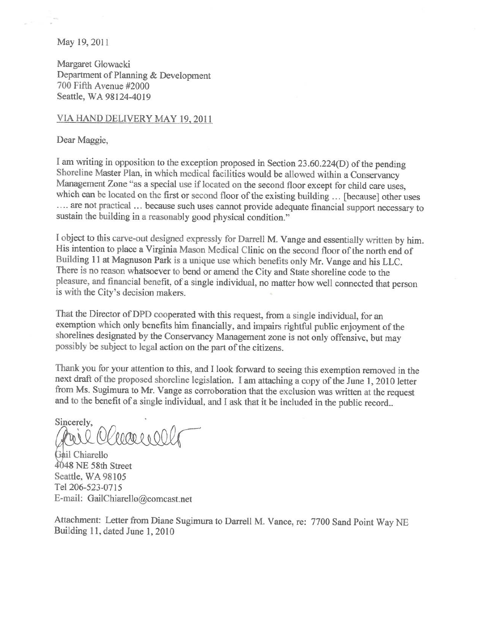May 19, 2011

Margaret Glowacki Department of Planning & Development 700 Fifth Avenue #2000 Seattle, WA 98124-4019

# VIA HAND DELIVERY MAY 19, 2011

Dear Maggie,

I am writing in opposition to the exception proposed in Section 23.60.224(D) of the pending Shoreline Master Plan, in which medical facilities would be allowed within a Conservancy Management Zone "as a special use if located on the second floor except for child care uses, which can be located on the first or second floor of the existing building ... [because] other uses .... are not practical ... because such uses cannot provide adequate financial support necessary to sustain the building in a reasonably good physical condition."

I object to this carve-out designed expressly for Darrell M. Vange and essentially written by him. His intention to place a Virginia Mason Medical Clinic on the second floor of the north end of Building 11 at Magnuson Park is a unique use which benefits only Mr. Vange and his LLC. There is no reason whatsoever to bend or amend the City and State shoreline code to the pleasure, and financial benefit, of a single individual, no matter how well connected that person is with the City's decision makers.

That the Director of DPD cooperated with this request, from a single individual, for an exemption which only benefits him financially, and impairs rightful public enjoyment of the shorelines designated by the Conservancy Management zone is not only offensive, but may possibly be subject to legal action on the part of the citizens.

Thank you for your attention to this, and I look forward to seeing this exemption removed in the next draft of the proposed shoreline legislation. I am attaching a copy of the June 1, 2010 letter from Ms. Sugimura to Mr. Vange as corroboration that the exclusion was written at the request and to the benefit of a single individual, and I ask that it be included in the public record..

Sincerely, wil Oleages OC

Gail Chiarello 4048 NE 58th Street Seattle, WA 98105 Tel 206-523-0715 E-mail: GailChiarello@comcast.net

Attachment: Letter from Diane Sugimura to Darrell M. Vance, re: 7700 Sand Point Way NE Building 11, dated June 1, 2010